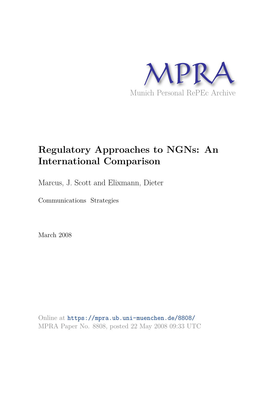

# **Regulatory Approaches to NGNs: An International Comparison**

Marcus, J. Scott and Elixmann, Dieter

Communications Strategies

March 2008

Online at https://mpra.ub.uni-muenchen.de/8808/ MPRA Paper No. 8808, posted 22 May 2008 09:33 UTC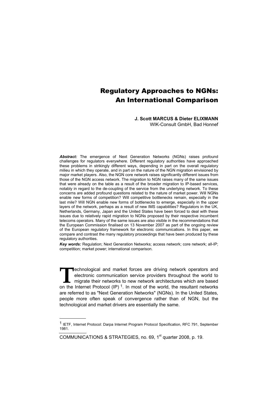# Regulatory Approaches to NGNs: An International Comparison

**J. Scott MARCUS & Dieter ELIXMANN** 

WIK-Consult GmbH, Bad Honnef

*Abstract:* The emergence of Next Generation Networks (NGNs) raises profound challenges for regulators everywhere. Different regulatory authorities have approached these problems in strikingly different ways, depending in part on the overall regulatory milieu in which they operate, and in part on the nature of the NGN migration envisioned by major market players. Also, the NGN core network raises significantly different issues from those of the NGN access network. The migration to NGN raises many of the same issues that were already on the table as a result of the broader migration to IP-based services, notably in regard to the de-coupling of the service from the underlying network. To these concerns are added profound questions related to the nature of market power. Will NGNs enable new forms of competition? Will competitive bottlenecks remain, especially in the last mile? Will NGN enable new forms of bottlenecks to emerge, especially in the upper layers of the network, perhaps as a result of new IMS capabilities? Regulators in the UK, Netherlands, Germany, Japan and the United States have been forced to deal with these issues due to relatively rapid migration to NGNs proposed by their respective incumbent telecoms operators. Many of the same issues are also visible in the recommendations that the European Commission finalised on 13 November 2007 as part of the ongoing review of the European regulatory framework for electronic communications. In this paper, we compare and contrast the many regulatory proceedings that have been produced by these regulatory authorities.

*Key words:* Regulation; Next Generation Networks; access network; core network; all-IP; competition; market power; international comparison.

echnological and market forces are driving network operators and electronic communication service providers throughout the world to **THE EXECUTE THE ENEXT EXECUTE THE ENEXT ARE ENTERT AT A FIRE A THE MOVE OF THE MOVE OF THE MOVE OF THE MOVE OF THE MOVE OF THE MOVE OF THE MOVE OF THE MOVE OF THE MOVE OF THE MOVE OF THE MOVE OF THE MOVE OF THE MOVE OF TH** on the Internet Protocol (IP)<sup>1</sup>. In most of the world, the resultant networks are referred to as "Next Generation Networks" (NGNs). In the United States, people more often speak of convergence rather than of NGN, but the technological and market drivers are essentially the same.

-

<sup>1</sup> IETF, Internet Protocol: Darpa Internet Program Protocol Specification, RFC 791, September 1981.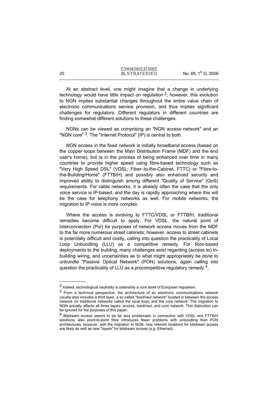At an abstract level, one might imagine that a change in underlying technology would have little impact on regulation  $2$ ; however, this evolution to NGN implies substantial changes throughout the entire value chain of electronic communications service provision, and thus implies significant challenges for regulators. Different regulators in different countries are finding somewhat different solutions to these challenges.

NGNs can be viewed as comprising an "NGN access network" and an "NGN core" <sup>3</sup>. The "Internet Protocol" (IP) is central to both.

NGN access in the fixed network is initially broadband access (based on the copper loops between the Main Distribution Frame (MDF) and the end user's home), but is in the process of being enhanced over time in many countries to provide higher speed using fibre-based technology such as "Very High Speed DSL" (VDSL; Fiber–to-the-Cabinet, FTTC) or "Fibre-tothe-Building/Home" (FTTB/H) and possibly also enhanced security and improved ability to distinguish among different "Quality of Service" (QoS) requirements. For cable networks, it is already often the case that the only voice service is IP-based, and the day is rapidly approaching where this will be the case for telephony networks as well. For mobile networks, the migration to IP voice is more complex.

Where the access is evolving to FTTC/VDSL or FTTB/H, traditional remedies become difficult to apply. For VDSL, the natural point of interconnection (PoI) for purposes of network access moves from the MDF to the far more numerous street cabinets; however, access to street cabinets is potentially difficult and costly, calling into question the practicality of Local Loop Unbundling (LLU) as a competitive remedy. For fibre-based deployments to the building, many challenges exist regarding (access to) inbuilding wiring, and uncertainties as to what might appropriately be done to unbundle "Passive Optical Network" (PON) solutions, again calling into question the practicality of LLU as a procompetitive regulatory remedy 4.

-

<sup>2</sup> Indeed, technological neutrality is ostensibly a core tenet of European regulation.

 $3$  From a technical perspective, the architecture of an electronic communications network usually also includes a third layer, a so called "backhaul network" located in between the access network (in traditional networks called the local loop) and the core network. The migration to NGN actually affects all three layers: access, backhaul, and core network. This distinction can be ignored for the purposes of this paper.

<sup>4</sup> Bitstream access seems to be far less problematic in connection with VDSL and FTTB/H solutions; also point-to-point fibre introduces fewer problems with unbundling than PON architectures; however, with the migration to NGN, new network locations for bitstream access are likely as well as new "layers" for bitstream access (*e.g.* Ethernet).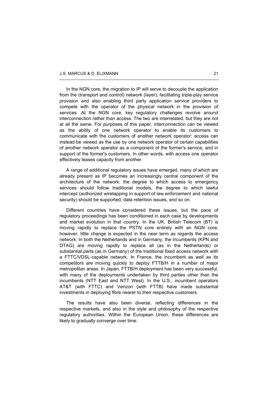In the NGN core, the migration to IP will serve to decouple the application from the (transport and control) network (layer), facilitating triple-play service provision and also enabling third party application service providers to compete with the operator of the physical network in the provision of services. At the NGN core, key regulatory challenges revolve around interconnection rather than access. The two are interrelated, but they are not at all the same. For purposes of this paper, interconnection can be viewed as the ability of one network operator to enable its customers to communicate with the customers of another network operator; access can instead be viewed as the use by one network operator of certain capabilities of another network operator as a component of the former's service, and in support of the former's customers. In other words, with access one operator effectively leases capacity from another.

A range of additional regulatory issues have emerged, many of which are already present as IP becomes an increasingly central component of the architecture of the network: the degree to which access to emergency services should follow traditional models, the degree to which lawful intercept (authorized wiretapping in support of law enforcement and national security) should be supported, data retention issues, and so on.

Different countries have considered these issues, but the pace of regulatory proceedings has been conditioned in each case by developments and market evolution in that country. In the UK, British Telecom (BT) is moving rapidly to replace the PSTN core entirely with an NGN core; however, little change is expected in the near term as regards the access network. In both the Netherlands and in Germany, the incumbents (KPN and DTAG) are moving rapidly to replace all (as in the Netherlands) or substantial parts (as in Germany) of the traditional fixed access network with a FTTC/VDSL-capable network. In France, the incumbent as well as its competitors are moving quickly to deploy FTTB/H in a number of major metropolitan areas. In Japan, FTTB/H deployment has been very successful, with many of the deployments undertaken by third parties other than the incumbents (NTT East and NTT West). In the U.S., incumbent operators AT&T (with FTTC) and Verizon (with FTTB) have made substantial investments in deploying fibre nearer to their respective customers.

The results have also been diverse, reflecting differences in the respective markets, and also in the style and philosophy of the respective regulatory authorities. Within the European Union, these differences are likely to gradually converge over time.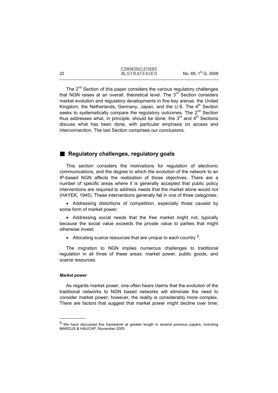The  $2^{nd}$  Section of this paper considers the various regulatory challenges that NGN raises at an overall, theoretical level. The  $3<sup>rd</sup>$  Section considers market evolution and regulatory developments in five key arenas: the United Kingdom, the Netherlands, Germany, Japan, and the U.S. The  $4<sup>th</sup>$  Section seeks to systematically compare the regulatory outcomes. The 2<sup>nd</sup> Section thus addresses what, in principle, should be done; the  $3<sup>rd</sup>$  and  $4<sup>th</sup>$  Sections discuss what has been done, with particular emphasis on access and interconnection. The last Section comprises our conclusions.

# **E** Regulatory challenges, regulatory goals

This section considers the motivations for regulation of electronic communications, and the degree to which the evolution of the network to an IP-based NGN affects the realization of those objectives. There are a number of specific areas where it is generally accepted that public policy interventions are required to address needs that the market alone would not (HAYEK, 1945). These interventions generally fall in one of three categories:

• Addressing distortions of competition, especially those caused by some form of market power;

• Addressing social needs that the free market might not, typically because the social value exceeds the private value to parties that might otherwise invest;

• Allocating scarce resources that are unique to each country <sup>5</sup>.

The migration to NGN implies numerous challenges to traditional regulation in all three of these areas: market power, public goods, and scarce resources.

#### *Market power*

-

As regards market power, one often hears claims that the evolution of the traditional networks to NGN based networks will eliminate the need to consider market power; however, the reality is considerably more complex. There are factors that suggest that market power might decline over time;

<sup>5</sup> We have discussed this framework at greater length in several previous papers, including MARCUS & HAUCAP, November 2005.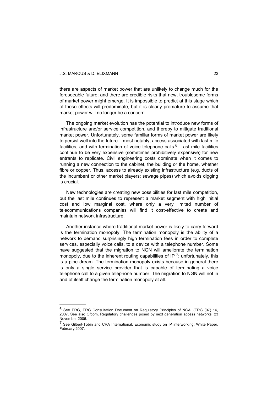j

there are aspects of market power that are unlikely to change much for the foreseeable future; and there are credible risks that new, troublesome forms of market power might emerge. It is impossible to predict at this stage which of these effects will predominate, but it is clearly premature to assume that market power will no longer be a concern.

The ongoing market evolution has the potential to introduce new forms of infrastructure and/or service competition, and thereby to mitigate traditional market power. Unfortunately, some familiar forms of market power are likely to persist well into the future – most notably, access associated with last mile facilities, and with termination of voice telephone calls  $6$ . Last mile facilities continue to be very expensive (sometimes prohibitively expensive) for new entrants to replicate. Civil engineering costs dominate when it comes to running a new connection to the cabinet, the building or the home, whether fibre or copper. Thus, access to already existing infrastructure (e.g. ducts of the incumbent or other market players; sewage pipes) which avoids digging is crucial.

New technologies are creating new possibilities for last mile competition, but the last mile continues to represent a market segment with high initial cost and low marginal cost, where only a very limited number of telecommunications companies will find it cost-effective to create and maintain network infrastructure.

Another instance where traditional market power is likely to carry forward is the termination monopoly. The termination monopoly is the ability of a network to demand surprisingly high termination fees in order to complete services, especially voice calls, to a device with a telephone number. Some have suggested that the migration to NGN will ameliorate the termination monopoly, due to the inherent routing capabilities of IP  $^7$ ; unfortunately, this is a pipe dream. The termination monopoly exists because in general there is only a single service provider that is capable of terminating a voice telephone call to a given telephone number. The migration to NGN will not in and of itself change the termination monopoly at all.

<sup>6</sup> See ERG, ERG Consultation Document on Regulatory Principles of NGA, (ERG (07) 16, 2007. See also Ofcom, Regulatory challenges posed by next generation access networks, 23 November 2006.

<sup>&</sup>lt;sup>7</sup> See Gilbert-Tobin and CRA International, Economic study on IP interworking: White Paper, February 2007.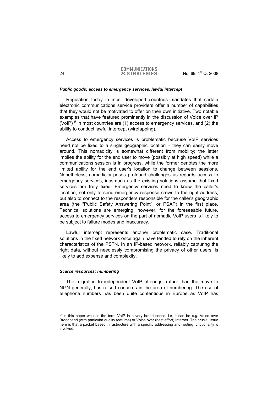#### *Public goods: access to emergency services, lawful intercept*

Regulation today in most developed countries mandates that certain electronic communications service providers offer a number of capabilities that they would not be motivated to offer on their own initiative. Two notable examples that have featured prominently in the discussion of Voice over IP (VoIP)  $8$  in most countries are (1) access to emergency services, and (2) the ability to conduct lawful intercept (wiretapping).

Access to emergency services is problematic because VoIP services need not be fixed to a single geographic location – they can easily move around. This nomadicity is somewhat different from mobility; the latter implies the ability for the end user to move (possibly at high speed) while a communications session is in progress, while the former denotes the more limited ability for the end user's location to change between sessions. Nonetheless, nomadicity poses profound challenges as regards access to emergency services, inasmuch as the existing solutions assume that fixed services are truly fixed. Emergency services need to know the caller's location, not only to send emergency response crews to the right address, but also to connect to the responders responsible for the caller's geographic area (the "Public Safety Answering Point", or PSAP) in the first place. Technical solutions are emerging; however, for the foreseeable future, access to emergency services on the part of nomadic VoIP users is likely to be subject to failure modes and inaccuracy.

Lawful intercept represents another problematic case. Traditional solutions in the fixed network once again have tended to rely on the inherent characteristics of the PSTN. In an IP-based network, reliably capturing the right data, without needlessly compromising the privacy of other users, is likely to add expense and complexity.

#### *Scarce resources: numbering*

-

The migration to independent VoIP offerings, rather than the move to NGN generally, has raised concerns in the area of numbering. The use of telephone numbers has been quite contentious in Europe as VoIP has

<sup>8</sup> In this paper we use the term VoIP in a very broad sense, i.e. it can be *e.g.* Voice over Broadband (with particular quality features) or Voice over (best effort) Internet. The crucial issue here is that a packet based infrastructure with a specific addressing and routing functionality is involved.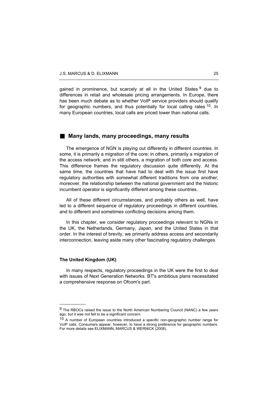gained in prominence, but scarcely at all in the United States <sup>9</sup> due to differences in retail and wholesale pricing arrangements. In Europe, there has been much debate as to whether VoIP service providers should qualify for geographic numbers, and thus potentially for local calling rates <sup>10</sup>. In many European countries, local calls are priced lower than national calls.

## ■ Many lands, many proceedings, many results

The emergence of NGN is playing out differently in different countries. In some, it is primarily a migration of the core; in others, primarily a migration of the access network; and in still others, a migration of both core and access. This difference frames the regulatory discussion quite differently. At the same time, the countries that have had to deal with the issue first have regulatory authorities with somewhat different traditions from one another; moreover, the relationship between the national government and the historic incumbent operator is significantly different among these countries.

All of these different circumstances, and probably others as well, have led to a different sequence of regulatory proceedings in different countries, and to different and sometimes conflicting decisions among them.

In this chapter, we consider regulatory proceedings relevant to NGNs in the UK, the Netherlands, Germany, Japan, and the United States in that order. In the interest of brevity, we primarily address access and secondarily interconnection, leaving aside many other fascinating regulatory challenges.

#### **The United Kingdom (UK)**

j

In many respects, regulatory proceedings in the UK were the first to deal with issues of Next Generation Networks. BT's ambitious plans necessitated a comprehensive response on Ofcom's part.

<sup>&</sup>lt;sup>9</sup> The RBOCs raised the issue to the North American Numbering Council (NANC) a few years ago, but it was not felt to be a significant concern.

<sup>&</sup>lt;sup>10</sup> A number of European countries introduced a specific non-geographic number range for VoIP calls. Consumers appear, however, to have a strong preference for geographic numbers. For more details see ELIXMANN, MARCUS & WERNICK (2008).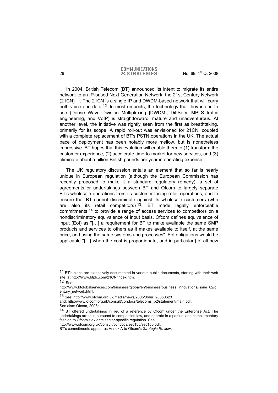In 2004, British Telecom (BT) announced its intent to migrate its entire network to an IP-based Next Generation Network, the 21st Century Network  $(21CN)$  <sup>11</sup>. The 21CN is a single IP and DWDM-based network that will carry both voice and data <sup>12</sup>. In most respects, the technology that they intend to use (Dense Wave Division Multiplexing [DWDM], DiffServ, MPLS traffic engineering, and VoIP) is straightforward, mature and unadventurous. At another level, the initiative was rightly seen from the first as breathtaking, primarily for its scope. A rapid roll-out was envisioned for 21CN, coupled with a complete replacement of BT's PSTN operations in the UK. The actual pace of deployment has been notably more mellow, but is nonetheless impressive. BT hopes that this evolution will enable them to (1) transform the customer experience, (2) accelerate time-to-market for new services, and (3) eliminate about a billion British pounds per year in operating expense.

The UK regulatory discussion entails an element that so far is nearly unique in European regulation (although the European Commission has recently proposed to make it a standard regulatory remedy): a set of agreements or undertakings between BT and Ofcom to largely separate BT's wholesale operations from its customer-facing retail operations, and to ensure that BT cannot discriminate against its wholesale customers (who are also its retail competitors)<sup>13</sup>. BT made legally enforceable commitments 14 to provide a range of access services to competitors on a nondiscriminatory equivalence of input basis. Ofcom defines equivalence of input (EoI) as "[…] a requirement for BT to make available the same SMP products and services to others as it makes available to itself, at the same price, and using the same systems and processes". EoI obligations would be applicable "[…] when the cost is proportionate, and in particular [to] all new

-

http://www.ofcom.org.uk/consult/condocs/sec155/sec155.pdf.

<sup>&</sup>lt;sup>11</sup> BT's plans are extensively documented in various public documents, starting with their web site, at http://www.btplc.com/21CN/index.htm.

 $12$  See:

http://www.btglobalservices.com/business/global/en/business/business\_innovations/issue\_02/c entury\_network.html.

<sup>13</sup> See: http://www.ofcom.org.uk/media/news/2005/06/nr\_20050623 and: http://www.ofcom.org.uk/consult/condocs/telecoms\_p2/statement/main.pdf. See also: Ofcom, 2005a.

<sup>14</sup> BT offered undertakings in lieu of a reference by Ofcom under the Enterprise Act. The undertakings are thus pursuant to competition law, and operate in a parallel and complementary fashion to Ofcom's *ex ante* sector-specific regulation. See:

BT's commitments appear as Annex A to Ofcom's *Strategic Review*.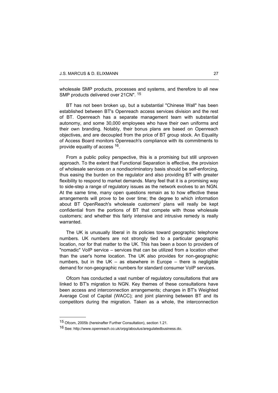wholesale SMP products, processes and systems, and therefore to all new SMP products delivered over 21CN". <sup>15</sup>

BT has not been broken up, but a substantial "Chinese Wall" has been established between BT's Openreach access services division and the rest of BT. Openreach has a separate management team with substantial autonomy, and some 30,000 employees who have their own uniforms and their own branding. Notably, their bonus plans are based on Openreach objectives, and are decoupled from the price of BT group stock. An Equality of Access Board monitors Openreach's compliance with its commitments to provide equality of access 16.

From a public policy perspective, this is a promising but still unproven approach. To the extent that Functional Separation is effective, the provision of wholesale services on a nondiscriminatory basis should be self-enforcing, thus easing the burden on the regulator and also providing BT with greater flexibility to respond to market demands. Many feel that it is a promising way to side-step a range of regulatory issues as the network evolves to an NGN. At the same time, many open questions remain as to how effective these arrangements will prove to be over time; the degree to which information about BT OpenReach's wholesale customers' plans will really be kept confidential from the portions of BT that compete with those wholesale customers; and whether this fairly intensive and intrusive remedy is really warranted.

The UK is unusually liberal in its policies toward geographic telephone numbers. UK numbers are not strongly tied to a particular geographic location, nor for that matter to the UK. This has been a boon to providers of "nomadic" VoIP service – services that can be utilized from a location other than the user's home location. The UK also provides for non-geographic numbers, but in the UK – as elsewhere in Europe – there is negligible demand for non-geographic numbers for standard consumer VoIP services.

Ofcom has conducted a vast number of regulatory consultations that are linked to BT's migration to NGN. Key themes of these consultations have been access and interconnection arrangements; changes in BT's Weighted Average Cost of Capital (WACC); and joint planning between BT and its competitors during the migration. Taken as a whole, the interconnection

-

<sup>15</sup> Ofcom, 2005b (hereinafter Further Consultation), section 1.21.

<sup>16</sup> See: http://www.openreach.co.uk/orpg/aboutus/aregulatedbusiness.do.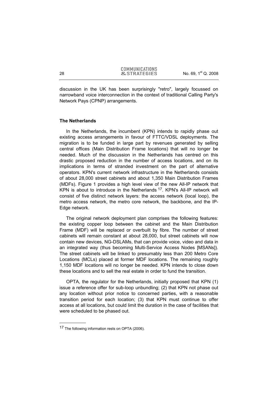discussion in the UK has been surprisingly "retro", largely focussed on narrowband voice interconnection in the context of traditional Calling Party's Network Pays (CPNP) arrangements.

### **The Netherlands**

In the Netherlands, the incumbent (KPN) intends to rapidly phase out existing access arrangements in favour of FTTC/VDSL deployments. The migration is to be funded in large part by revenues generated by selling central offices (Main Distribution Frame locations) that will no longer be needed. Much of the discussion in the Netherlands has centred on this drastic proposed reduction in the number of access locations, and on its implications in terms of stranded investment on the part of alternative operators. KPN's current network infrastructure in the Netherlands consists of about 28,000 street cabinets and about 1,350 Main Distribution Frames (MDFs). Figure 1 provides a high level view of the new All-IP network that KPN is about to introduce in the Netherlands <sup>17</sup>. KPN's All-IP network will consist of five distinct network layers: the access network (local loop), the metro access network, the metro core network, the backbone, and the IP-Edge network.

The original network deployment plan comprises the following features: the existing copper loop between the cabinet and the Main Distribution Frame (MDF) will be replaced or overbuilt by fibre. The number of street cabinets will remain constant at about 28,000, but street cabinets will now contain new devices, NG-DSLAMs, that can provide voice, video and data in an integrated way (thus becoming Multi-Service Access Nodes [MSANs]). The street cabinets will be linked to presumably less than 200 Metro Core Locations (MCLs) placed at former MDF locations. The remaining roughly 1,150 MDF locations will no longer be needed. KPN intends to close down these locations and to sell the real estate in order to fund the transition.

OPTA, the regulator for the Netherlands, initially proposed that KPN (1) issue a reference offer for sub-loop unbundling; (2) that KPN not phase out any location without prior notice to concerned parties, with a reasonable transition period for each location; (3) that KPN must continue to offer access at all locations, but could limit the duration in the case of facilities that were scheduled to be phased out.

l

<sup>&</sup>lt;sup>17</sup> The following information rests on OPTA (2006).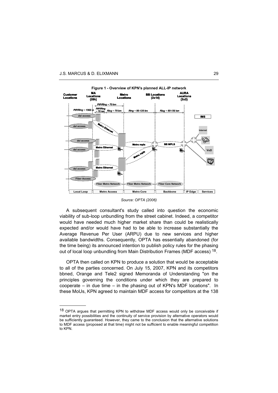j



**Figure 1 - Overview of KPN's planned ALL-IP network** 

*Source: OPTA (2006)* 

A subsequent consultant's study called into question the economic viability of sub-loop unbundling from the street cabinet. Indeed, a competitor would have needed much higher market share than could be realistically expected and/or would have had to be able to increase substantially the Average Revenue Per User (ARPU) due to new services and higher available bandwidths. Consequently, OPTA has essentially abandoned (for the time being) its announced intention to publish policy rules for the phasing out of local loop unbundling from Main Distribution Frames (MDF access) <sup>18</sup>.

OPTA then called on KPN to produce a solution that would be acceptable to all of the parties concerned. On July 15, 2007, KPN and its competitors bbned, Orange and Tele2 signed Memoranda of Understanding "on the principles governing the conditions under which they are prepared to cooperate – in due time – in the phasing out of KPN's MDF locations". In these MoUs, KPN agreed to maintain MDF access for competitors at the 138

<sup>18</sup> OPTA argues that permitting KPN to withdraw MDF access would only be conceivable if market entry possibilities and the continuity of service provision by alternative operators would be sufficiently guaranteed. However, they came to the conclusion that the alternative solutions to MDF access (proposed at that time) might not be sufficient to enable meaningful competition to KPN.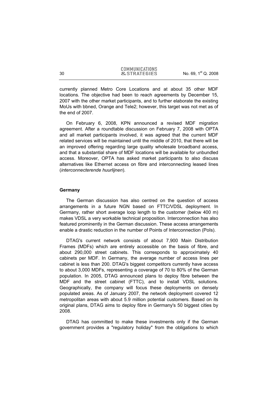currently planned Metro Core Locations and at about 35 other MDF locations. The objective had been to reach agreements by December 15, 2007 with the other market participants, and to further elaborate the existing MoUs with bbned, Orange and Tele2; however, this target was not met as of the end of 2007.

On February 6, 2008, KPN announced a revised MDF migration agreement. After a roundtable discussion on February 7, 2008 with OPTA and all market participants involved, it was agreed that the current MDF related services will be maintained until the middle of 2010, that there will be an improved offering regarding large quality wholesale broadband access, and that a substantial share of MDF locations will be available for unbundled access. Moreover, OPTA has asked market participants to also discuss alternatives like Ethernet access on fibre and interconnecting leased lines (*interconnecterende huurlijnen*).

#### **Germany**

The German discussion has also centred on the question of access arrangements in a future NGN based on FTTC/VDSL deployment. In Germany, rather short average loop length to the customer (below 400 m) makes VDSL a very workable technical proposition. Interconnection has also featured prominently in the German discussion. These access arrangements enable a drastic reduction in the number of Points of Interconnection (PoIs).

DTAG's current network consists of about 7,900 Main Distribution Frames (MDFs) which are entirely accessible on the basis of fibre, and about 290,000 street cabinets. This corresponds to approximately 40 cabinets per MDF. In Germany, the average number of access lines per cabinet is less than 200. DTAG's biggest competitors currently have access to about 3,000 MDFs, representing a coverage of 70 to 80% of the German population. In 2005, DTAG announced plans to deploy fibre between the MDF and the street cabinet (FTTC), and to install VDSL solutions. Geographically, the company will focus these deployments on densely populated areas. As of January 2007, the network deployment covered 12 metropolitan areas with about 5.9 million potential customers. Based on its original plans, DTAG aims to deploy fibre in Germany's 50 biggest cities by 2008.

DTAG has committed to make these investments only if the German government provides a "regulatory holiday" from the obligations to which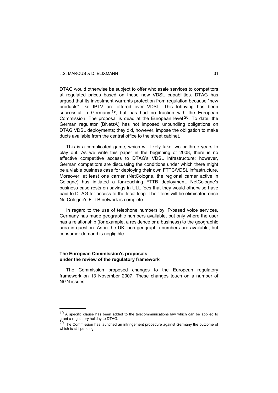DTAG would otherwise be subject to offer wholesale services to competitors at regulated prices based on these new VDSL capabilities. DTAG has argued that its investment warrants protection from regulation because "new products" like IPTV are offered over VDSL. This lobbying has been successful in Germany  $19$ , but has had no traction with the European Commission. The proposal is dead at the European level  $20$ . To date, the German regulator (BNetzA) has not imposed unbundling obligations on DTAG VDSL deployments; they did, however, impose the obligation to make ducts available from the central office to the street cabinet.

This is a complicated game, which will likely take two or three years to play out. As we write this paper in the beginning of 2008, there is no effective competitive access to DTAG's VDSL infrastructure; however, German competitors are discussing the conditions under which there might be a viable business case for deploying their own FTTC/VDSL infrastructure. Moreover, at least one carrier (NetCologne, the regional carrier active in Cologne) has initiated a far-reaching FTTB deployment. NetCologne's business case rests on savings in ULL fees that they would otherwise have paid to DTAG for access to the local loop. Their fees will be eliminated once NetCologne's FTTB network is complete.

In regard to the use of telephone numbers by IP-based voice services, Germany has made geographic numbers available, but only where the user has a relationship (for example, a residence or a business) to the geographic area in question. As in the UK, non-geographic numbers are available, but consumer demand is negligible.

#### **The European Commission's proposals under the review of the regulatory framework**

-

The Commission proposed changes to the European regulatory framework on 13 November 2007. These changes touch on a number of NGN issues.

<sup>&</sup>lt;sup>19</sup> A specific clause has been added to the telecommunications law which can be applied to grant a regulatory holiday to DTAG.

 $20$  The Commission has launched an infringement procedure against Germany the outcome of which is still pending.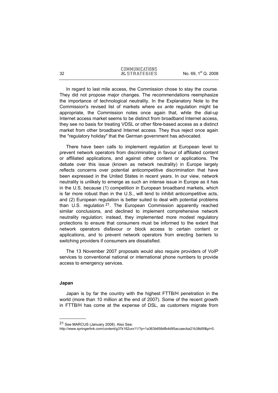In regard to last mile access, the Commission chose to stay the course. They did not propose major changes. The recommendations reemphasize the importance of technological neutrality. In the Explanatory Note to the Commission's revised list of markets where *ex ante* regulation might be appropriate, the Commission notes once again that, while the dial-up Internet access market seems to be distinct from broadband Internet access, they see no basis for treating VDSL or other fibre-based access as a distinct market from other broadband Internet access. They thus reject once again the "regulatory holiday" that the German government has advocated.

There have been calls to implement regulation at European level to prevent network operators from discriminating in favour of affiliated content or affiliated applications, and against other content or applications. The debate over this issue (known as network neutrality) in Europe largely reflects concerns over potential anticompetitive discrimination that have been expressed in the United States in recent years. In our view, network neutrality is unlikely to emerge as such an intense issue in Europe as it has in the U.S, because (1) competition in European broadband markets, which is far more robust than in the U.S., will tend to inhibit anticompetitive acts, and (2) European regulation is better suited to deal with potential problems than U.S. regulation  $21$ . The European Commission apparently reached similar conclusions, and declined to implement comprehensive network neutrality regulation; instead, they implemented more modest regulatory protections to ensure that consumers must be informed to the extent that network operators disfavour or block access to certain content or applications, and to prevent network operators from erecting barriers to switching providers if consumers are dissatisfied.

The 13 November 2007 proposals would also require providers of VoIP services to conventional national or international phone numbers to provide access to emergency services.

#### **Japan**

j

Japan is by far the country with the highest FTTB/H penetration in the world (more than 10 million at the end of 2007). Some of the recent growth in FTTB/H has come at the expense of DSL, as customers migrate from

<sup>21</sup> See MARCUS (January 2008). Also See:

http://www.springerlink.com/content/g37k162urx11/?p=1a363b658dfb4d95accaecba21b38d5f&pi=0.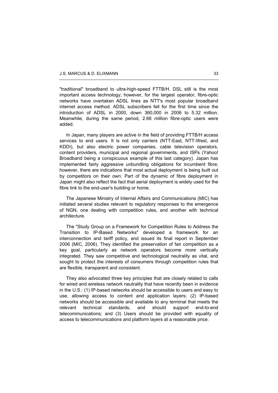"traditional" broadband to ultra-high-speed FTTB/H. DSL still is the most important access technology; however, for the largest operator, fibre-optic networks have overtaken ADSL lines as NTT's most popular broadband internet access method. ADSL subscribers fell for the first time since the introduction of ADSL in 2000, down 360,000 in 2006 to 5.32 million. Meanwhile, during the same period, 2.66 million fibre-optic users were added.

In Japan, many players are active in the field of providing FTTB/H access services to end users. It is not only carriers (NTT-East, NTT-West, and KDDI), but also electric power companies, cable television operators, content providers, municipal and regional governments, and ISPs (Yahoo! Broadband being a conspicuous example of this last category). Japan has implemented fairly aggressive unbundling obligations for incumbent fibre; however, there are indications that most actual deployment is being built out by competitors on their own. Part of the dynamic of fibre deployment in Japan might also reflect the fact that aerial deployment is widely used for the fibre link to the end-user's building or home.

The Japanese Ministry of Internal Affairs and Communications (MIC) has initiated several studies relevant to regulatory responses to the emergence of NGN, one dealing with competition rules, and another with technical architecture.

The "Study Group on a Framework for Competition Rules to Address the Transition to IP-Based Networks" developed a framework for an interconnection and tariff policy, and issued its final report in September 2006 (MIC, 2006). They identified the preservation of fair competition as a key goal, particularly as network operators become more vertically integrated. They saw competitive and technological neutrality as vital, and sought to protect the interests of consumers through competition rules that are flexible, transparent and consistent.

They also advocated three key principles that are closely related to calls for wired and wireless network neutrality that have recently been in evidence in the U.S.: (1) IP-based networks should be accessible to users and easy to use, allowing access to content and application layers; (2) IP-based networks should be accessible and available to any terminal that meets the relevant technical standards, and should support end-to-end telecommunications; and (3) Users should be provided with equality of access to telecommunications and platform layers at a reasonable price.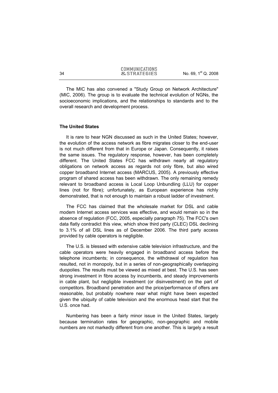The MIC has also convened a "Study Group on Network Architecture" (MIC, 2006). The group is to evaluate the technical evolution of NGNs, the socioeconomic implications, and the relationships to standards and to the overall research and development process.

#### **The United States**

It is rare to hear NGN discussed as such in the United States; however, the evolution of the access network as fibre migrates closer to the end-user is not much different from that in Europe or Japan. Consequently, it raises the same issues. The regulatory response, however, has been completely different. The United States FCC has withdrawn nearly all regulatory obligations on network access as regards not only fibre, but also wired copper broadband Internet access (MARCUS, 2005). A previously effective program of shared access has been withdrawn. The only remaining remedy relevant to broadband access is Local Loop Unbundling (LLU) for copper lines (not for fibre); unfortunately, as European experience has richly demonstrated, that is not enough to maintain a robust ladder of investment.

The FCC has claimed that the wholesale market for DSL and cable modem Internet access services was effective, and would remain so in the absence of regulation (FCC, 2005, especially paragraph 75). The FCC's own data flatly contradict this view, which show third party (CLEC) DSL declining to 3.1% of all DSL lines as of December 2006. The third party access provided by cable operators is negligible.

The U.S. is blessed with extensive cable television infrastructure, and the cable operators were heavily engaged in broadband access before the telephone incumbents; in consequence, the withdrawal of regulation has resulted, not in monopoly, but in a series of non-geographically overlapping duopolies. The results must be viewed as mixed at best. The U.S. has seen strong investment in fibre access by incumbents, and steady improvements in cable plant, but negligible investment (or disinvestment) on the part of competitors. Broadband penetration and the price/performance of offers are reasonable, but probably nowhere near what might have been expected given the ubiquity of cable television and the enormous head start that the U.S. once had.

Numbering has been a fairly minor issue in the United States, largely because termination rates for geographic, non-geographic and mobile numbers are not markedly different from one another. This is largely a result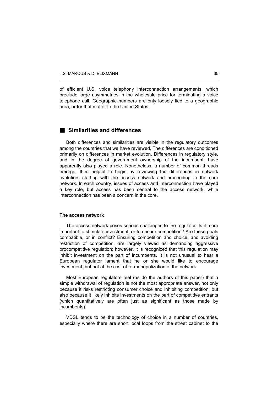of efficient U.S. voice telephony interconnection arrangements, which preclude large asymmetries in the wholesale price for terminating a voice telephone call. Geographic numbers are only loosely tied to a geographic area, or for that matter to the United States.

# **Similarities and differences**

Both differences and similarities are visible in the regulatory outcomes among the countries that we have reviewed. The differences are conditioned primarily on differences in market evolution. Differences in regulatory style, and in the degree of government ownership of the incumbent, have apparently also played a role. Nonetheless, a number of common threads emerge. It is helpful to begin by reviewing the differences in network evolution, starting with the access network and proceeding to the core network. In each country, issues of access and interconnection have played a key role, but access has been central to the access network, while interconnection has been a concern in the core.

#### **The access network**

The access network poses serious challenges to the regulator. Is it more important to stimulate investment, or to ensure competition? Are these goals compatible, or in conflict? Ensuring competition and choice, and avoiding restriction of competition, are largely viewed as demanding aggressive procompetitive regulation; however, it is recognized that this regulation may inhibit investment on the part of incumbents. It is not unusual to hear a European regulator lament that he or she would like to encourage investment, but not at the cost of re-monopolization of the network.

Most European regulators feel (as do the authors of this paper) that a simple withdrawal of regulation is not the most appropriate answer, not only because it risks restricting consumer choice and inhibiting competition, but also because it likely inhibits investments on the part of competitive entrants (which quantitatively are often just as significant as those made by incumbents).

VDSL tends to be the technology of choice in a number of countries, especially where there are short local loops from the street cabinet to the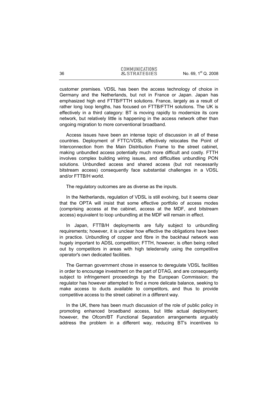customer premises. VDSL has been the access technology of choice in Germany and the Netherlands, but not in France or Japan. Japan has emphasized high end FTTB/FTTH solutions. France, largely as a result of rather long loop lengths, has focused on FTTB/FTTH solutions. The UK is effectively in a third category: BT is moving rapidly to modernize its core network, but relatively little is happening in the access network other than ongoing migration to more conventional broadband.

Access issues have been an intense topic of discussion in all of these countries. Deployment of FTTC/VDSL effectively relocates the Point of Interconnection from the Main Distribution Frame to the street cabinet, making unbundled access potentially much more difficult and costly. FTTH involves complex building wiring issues, and difficulties unbundling PON solutions. Unbundled access and shared access (but not necessarily bitstream access) consequently face substantial challenges in a VDSL and/or FTTB/H world.

The regulatory outcomes are as diverse as the inputs.

In the Netherlands, regulation of VDSL is still evolving, but it seems clear that the OPTA will insist that some effective portfolio of access modes (comprising access at the cabinet, access at the MDF, and bitstream access) equivalent to loop unbundling at the MDF will remain in effect.

In Japan, FTTB/H deployments are fully subject to unbundling requirements; however, it is unclear how effective the obligations have been in practice. Unbundling of copper and fibre in the backhaul network was hugely important to ADSL competition; FTTH, however, is often being rolled out by competitors in areas with high teledensity using the competitive operator's own dedicated facilities.

The German government chose in essence to deregulate VDSL facilities in order to encourage investment on the part of DTAG, and are consequently subject to infringement proceedings by the European Commission; the regulator has however attempted to find a more delicate balance, seeking to make access to ducts available to competitors, and thus to provide competitive access to the street cabinet in a different way.

In the UK, there has been much discussion of the role of public policy in promoting enhanced broadband access, but little actual deployment; however, the Ofcom/BT Functional Separation arrangements arguably address the problem in a different way, reducing BT's incentives to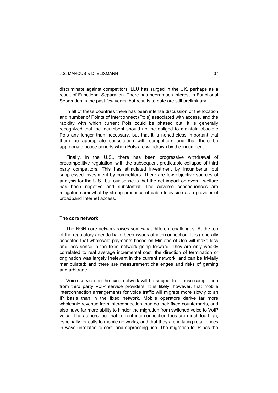discriminate against competitors. LLU has surged in the UK, perhaps as a result of Functional Separation. There has been much interest in Functional Separation in the past few years, but results to date are still preliminary.

In all of these countries there has been intense discussion of the location and number of Points of Interconnect (PoIs) associated with access, and the rapidity with which current PoIs could be phased out. It is generally recognized that the incumbent should not be obliged to maintain obsolete PoIs any longer than necessary, but that it is nonetheless important that there be appropriate consultation with competitors and that there be appropriate notice periods when PoIs are withdrawn by the incumbent.

Finally, in the U.S., there has been progressive withdrawal of procompetitive regulation, with the subsequent predictable collapse of third party competitors. This has stimulated investment by incumbents, but suppressed investment by competitors. There are few objective sources of analysis for the U.S., but our sense is that the net impact on overall welfare has been negative and substantial. The adverse consequences are mitigated somewhat by strong presence of cable television as a provider of broadband Internet access.

#### **The core network**

The NGN core network raises somewhat different challenges. At the top of the regulatory agenda have been issues of interconnection. It is generally accepted that wholesale payments based on Minutes of Use will make less and less sense in the fixed network going forward. They are only weakly correlated to real average incremental cost; the direction of termination or origination was largely irrelevant in the current network, and can be trivially manipulated; and there are measurement challenges and risks of gaming and arbitrage.

Voice services in the fixed network will be subject to intense competition from third party VoIP service providers. It is likely, however, that mobile interconnection arrangements for voice traffic will migrate more slowly to an IP basis than in the fixed network. Mobile operators derive far more wholesale revenue from interconnection than do their fixed counterparts, and also have far more ability to hinder the migration from switched voice to VoIP voice. The authors feel that current interconnection fees are much too high, especially for calls to mobile networks, and that they are inflating retail prices in ways unrelated to cost, and depressing use. The migration to IP has the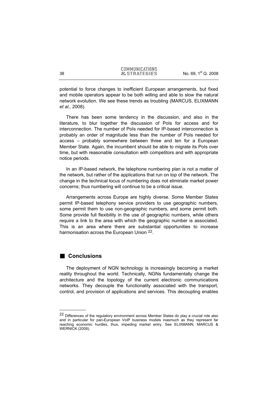potential to force changes to inefficient European arrangements, but fixed and mobile operators appear to be both willing and able to slow the natural network evolution. We see these trends as troubling (MARCUS, ELIXMANN *et al*., 2008).

There has been some tendency in the discussion, and also in the literature, to blur together the discussion of PoIs for access and for interconnection. The number of PoIs needed for IP-based interconnection is probably an order of magnitude less than the number of PoIs needed for access – probably somewhere between three and ten for a European Member State. Again, the incumbent should be able to migrate its PoIs over time, but with reasonable consultation with competitors and with appropriate notice periods.

In an IP-based network, the telephone numbering plan is not a matter of the network, but rather of the applications that run on top of the network. The change in the technical locus of numbering does not eliminate market power concerns; thus numbering will continue to be a critical issue.

Arrangements across Europe are highly diverse. Some Member States permit IP-based telephony service providers to use geographic numbers, some permit them to use non-geographic numbers, and some permit both. Some provide full flexibility in the use of geographic numbers, while others require a link to the area with which the geographic number is associated. This is an area where there are substantial opportunities to increase harmonisation across the European Union <sup>22</sup>.

# **Conclusions**

-

The deployment of NGN technology is increasingly becoming a market reality throughout the world. Technically, NGNs fundamentally change the architecture and the topology of the current electronic communications networks. They decouple the functionality associated with the transport, control, and provision of applications and services. This decoupling enables

<sup>&</sup>lt;sup>22</sup> Differences of the regulatory environment across Member States do play a crucial role also and in particular for pan-European VoIP business models inasmuch as they represent far reaching economic hurdles, thus, impeding market entry. See ELIXMANN, MARCUS & WERNICK (2008).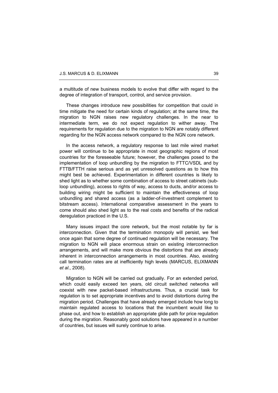a multitude of new business models to evolve that differ with regard to the degree of integration of transport, control, and service provision.

These changes introduce new possibilities for competition that could in time mitigate the need for certain kinds of regulation; at the same time, the migration to NGN raises new regulatory challenges. In the near to intermediate term, we do not expect regulation to wither away. The requirements for regulation due to the migration to NGN are notably different regarding for the NGN access network compared to the NGN core network.

In the access network, a regulatory response to last mile wired market power will continue to be appropriate in most geographic regions of most countries for the foreseeable future; however, the challenges posed to the implementation of loop unbundling by the migration to FTTC/VSDL and by FTTB/FTTH raise serious and as yet unresolved questions as to how this might best be achieved. Experimentation in different countries is likely to shed light as to whether some combination of access to street cabinets (subloop unbundling), access to rights of way, access to ducts, and/or access to building wiring might be sufficient to maintain the effectiveness of loop unbundling and shared access (as a ladder-of-investment complement to bitstream access). International comparative assessment in the years to come should also shed light as to the real costs and benefits of the radical deregulation practiced in the U.S.

Many issues impact the core network, but the most notable by far is interconnection. Given that the termination monopoly will persist, we feel once again that some degree of continued regulation will be necessary. The migration to NGN will place enormous strain on existing interconnection arrangements, and will make more obvious the distortions that are already inherent in interconnection arrangements in most countries. Also, existing call termination rates are at inefficiently high levels (MARCUS, ELIXMANN *et al*., 2008).

Migration to NGN will be carried out gradually. For an extended period, which could easily exceed ten years, old circuit switched networks will coexist with new packet-based infrastructures. Thus, a crucial task for regulation is to set appropriate incentives and to avoid distortions during the migration period. Challenges that have already emerged include how long to maintain regulated access to locations that the incumbent would like to phase out, and how to establish an appropriate glide path for price regulation during the migration. Reasonably good solutions have appeared in a number of countries, but issues will surely continue to arise.